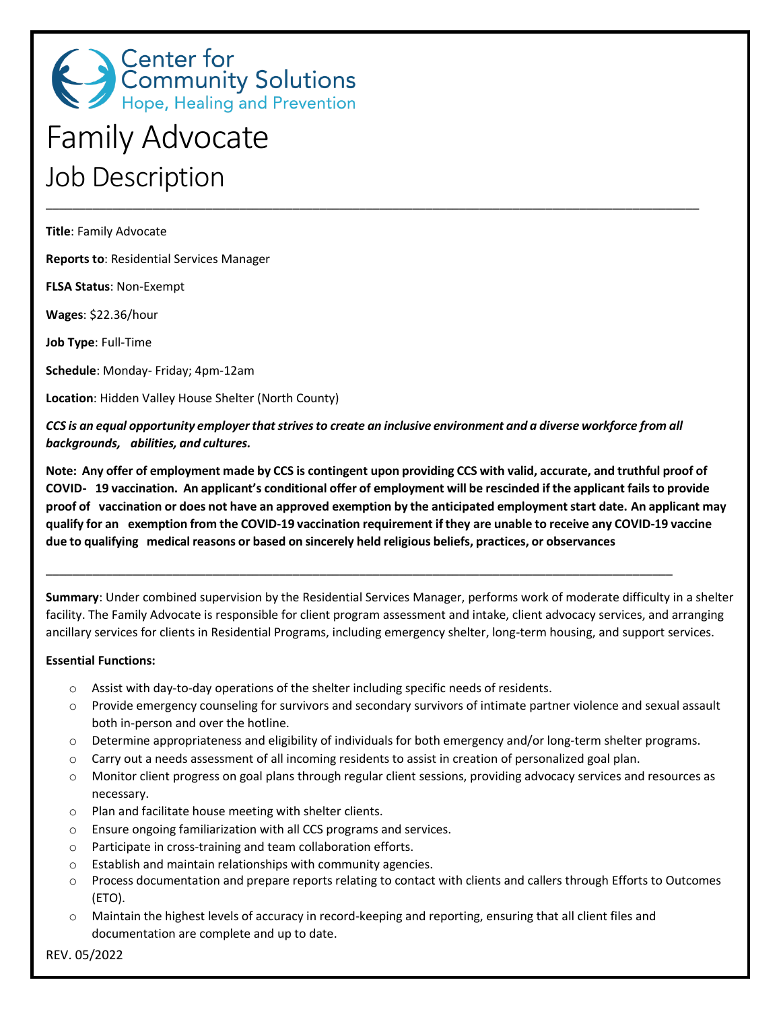

# Family Advocate Job Description

**Title**: Family Advocate

**Reports to**: Residential Services Manager

**FLSA Status**: Non-Exempt

**Wages**: \$22.36/hour

**Job Type**: Full-Time

**Schedule**: Monday- Friday; 4pm-12am

**Location**: Hidden Valley House Shelter (North County)

CCS is an equal opportunity employer that strives to create an inclusive environment and a diverse workforce from all *backgrounds, abilities, and cultures.*

\_\_\_\_\_\_\_\_\_\_\_\_\_\_\_\_\_\_\_\_\_\_\_\_\_\_\_\_\_\_\_\_\_\_\_\_\_\_\_\_\_\_\_\_\_\_\_\_\_\_\_\_\_\_\_\_\_\_\_\_\_\_\_\_\_\_\_\_\_\_\_\_\_\_\_\_\_\_\_\_\_\_\_\_\_\_\_\_\_\_\_\_\_\_

\_\_\_\_\_\_\_\_\_\_\_\_\_\_\_\_\_\_\_\_\_\_\_\_\_\_\_\_\_\_\_\_\_\_\_\_\_\_\_\_\_\_\_\_\_\_\_\_\_\_\_\_\_\_\_\_\_\_\_\_\_\_\_\_\_\_\_\_\_\_\_\_\_\_\_\_\_\_\_\_\_\_\_\_\_\_\_\_\_\_\_\_\_\_\_\_\_\_

Note: Any offer of employment made by CCS is contingent upon providing CCS with valid, accurate, and truthful proof of COVID- 19 vaccination. An applicant's conditional offer of employment will be rescinded if the applicant fails to provide proof of vaccination or does not have an approved exemption by the anticipated employment start date. An applicant may qualify for an exemption from the COVID-19 vaccination requirement if they are unable to receive any COVID-19 vaccine **due to qualifying medical reasons or based on sincerely held religious beliefs, practices, or observances**

**Summary**: Under combined supervision by the Residential Services Manager, performs work of moderate difficulty in a shelter facility. The Family Advocate is responsible for client program assessment and intake, client advocacy services, and arranging ancillary services for clients in Residential Programs, including emergency shelter, long-term housing, and support services.

#### **Essential Functions:**

- $\circ$  Assist with day-to-day operations of the shelter including specific needs of residents.
- o Provide emergency counseling for survivors and secondary survivors of intimate partner violence and sexual assault both in-person and over the hotline.
- o Determine appropriateness and eligibility of individuals for both emergency and/or long-term shelter programs.
- o Carry out a needs assessment of all incoming residents to assist in creation of personalized goal plan.
- o Monitor client progress on goal plans through regular client sessions, providing advocacy services and resources as necessary.
- o Plan and facilitate house meeting with shelter clients.
- o Ensure ongoing familiarization with all CCS programs and services.
- o Participate in cross-training and team collaboration efforts.
- o Establish and maintain relationships with community agencies.
- o Process documentation and prepare reports relating to contact with clients and callers through Efforts to Outcomes (ETO).
- o Maintain the highest levels of accuracy in record-keeping and reporting, ensuring that all client files and documentation are complete and up to date.

REV. 05/2022